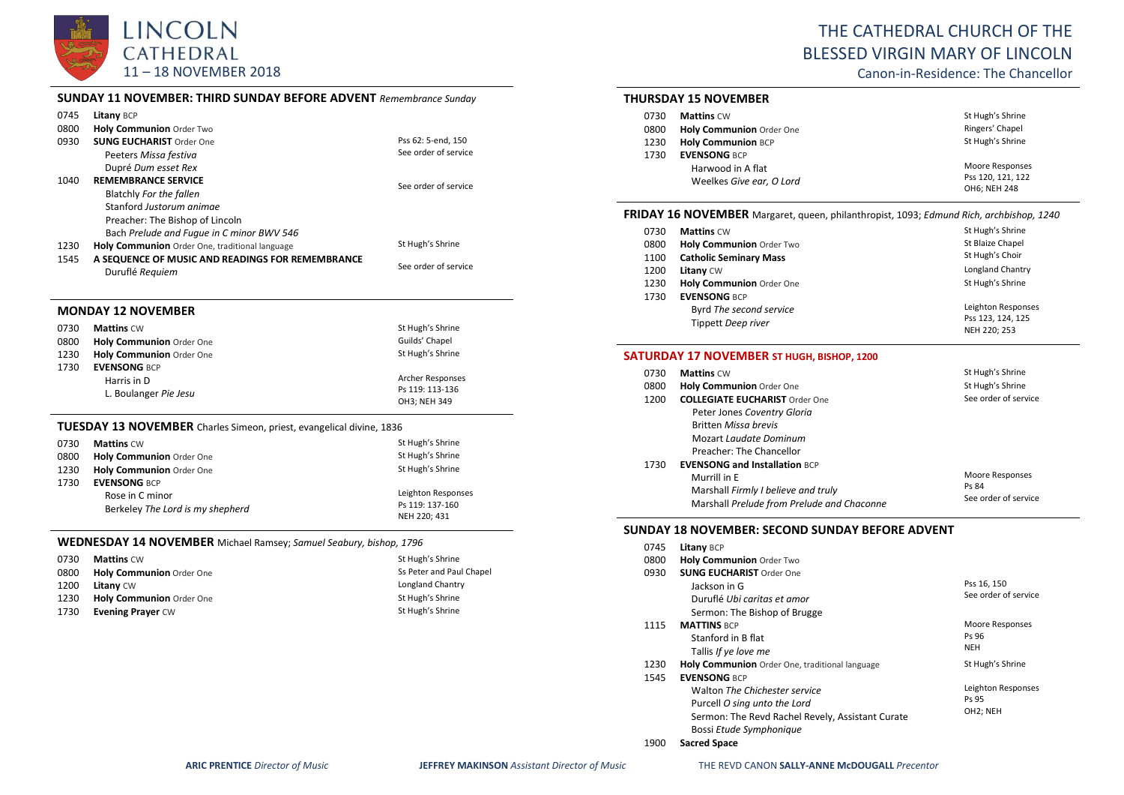

|  | THE CATHEDRAL CHURCH OF THE           |
|--|---------------------------------------|
|  | <b>BLESSED VIRGIN MARY OF LINCOLN</b> |
|  | And the Booth and The Alexandra U.S.  |

Canon-in-Residence: The Chancellor

# **SUNDAY 11 NOVEMBER: THIRD SUNDAY BEFORE ADVENT** *Remembrance Sunday*

| 0745 | Litany BCP                                                                  |                      |
|------|-----------------------------------------------------------------------------|----------------------|
| 0800 | Holy Communion Order Two                                                    |                      |
| 0930 | <b>SUNG EUCHARIST Order One</b>                                             | Pss 62: 5-end, 150   |
|      | Peeters Missa festiva                                                       | See order of service |
|      | Dupré Dum esset Rex                                                         |                      |
| 1040 | <b>REMEMBRANCE SERVICE</b>                                                  | See order of service |
|      | Blatchly For the fallen                                                     |                      |
|      | Stanford Justorum animae                                                    |                      |
|      | Preacher: The Bishop of Lincoln                                             |                      |
|      | Bach Prelude and Fugue in C minor BWV 546                                   |                      |
| 1230 | Holy Communion Order One, traditional language                              | St Hugh's Shrine     |
| 1545 | A SEQUENCE OF MUSIC AND READINGS FOR REMEMBRANCE                            | See order of service |
|      | Duruflé Requiem                                                             |                      |
|      |                                                                             |                      |
|      |                                                                             |                      |
|      | <b>MONDAY 12 NOVEMBER</b>                                                   |                      |
| 0730 | <b>Mattins CW</b>                                                           | St Hugh's Shrine     |
| 0800 | Holy Communion Order One                                                    | Guilds' Chapel       |
| 1230 | Holy Communion Order One                                                    | St Hugh's Shrine     |
| 1730 | <b>EVENSONG BCP</b>                                                         |                      |
|      | Harris in D                                                                 | Archer Responses     |
|      | L. Boulanger Pie Jesu                                                       | Ps 119: 113-136      |
|      |                                                                             | OH3; NEH 349         |
|      | <b>TUESDAY 13 NOVEMBER</b> Charles Simeon, priest, evangelical divine, 1836 |                      |
| 0730 | <b>Mattins CW</b>                                                           | St Hugh's Shrine     |
| 0800 | Holy Communion Order One                                                    | St Hugh's Shrine     |
| 1230 | Holy Communion Order One                                                    | St Hugh's Shrine     |
| 1730 | <b>EVENSONG BCP</b>                                                         |                      |
|      | Rose in C minor                                                             | Leighton Responses   |
|      | Berkeley The Lord is my shepherd                                            | Ps 119: 137-160      |

**WEDNESDAY 14 NOVEMBER** Michael Ramsey; *Samuel Seabury, bishop, 1796*

| 0730 | <b>Mattins CW</b>               | St Hugh's Shrine         |
|------|---------------------------------|--------------------------|
| 0800 | <b>Holy Communion Order One</b> | Ss Peter and Paul Chapel |
| 1200 | <b>Litany CW</b>                | Longland Chantry         |
| 1230 | Holy Communion Order One        | St Hugh's Shrine         |
| 1730 | <b>Evening Prayer CW</b>        | St Hugh's Shrine         |

## **THURSDAY 15 NOVEMBER**

| 0730 | <b>Mattins CW</b>               | St Hugh's Shrine                  |
|------|---------------------------------|-----------------------------------|
| 0800 | <b>Holy Communion Order One</b> | Ringers' Chapel                   |
| 1230 | <b>Holy Communion BCP</b>       | St Hugh's Shrine                  |
| 1730 | <b>EVENSONG BCP</b>             |                                   |
|      | Harwood in A flat               | Moore Responses                   |
|      | Weelkes Give ear, O Lord        | Pss 120, 121, 122<br>OH6; NEH 248 |

# **FRIDAY 16 NOVEMBER** Margaret, queen, philanthropist, 1093; *Edmund Rich, archbishop, 1240*

| 0730<br>0800 | <b>Mattins CW</b><br>Holy Communion Order Two | St Hugh's Shrine<br>St Blaize Chapel |
|--------------|-----------------------------------------------|--------------------------------------|
| 1100         | <b>Catholic Seminary Mass</b>                 | St Hugh's Choir                      |
| 1200         | Litany CW                                     | Longland Chantry                     |
| 1230         | Holy Communion Order One                      | St Hugh's Shrine                     |
| 1730         | <b>EVENSONG BCP</b>                           |                                      |
|              | Byrd The second service                       | Leighton Responses                   |
|              | Tippett Deep river                            | Pss 123, 124, 125<br>NEH 220: 253    |

#### **SATURDAY 17 NOVEMBER ST HUGH, BISHOP, 1200**

| 0730 | <b>Mattins CW</b>                          | St Hugh's Shrine              |
|------|--------------------------------------------|-------------------------------|
| 0800 | <b>Holy Communion Order One</b>            | St Hugh's Shrine              |
| 1200 | <b>COLLEGIATE EUCHARIST Order One</b>      | See order of service          |
|      | Peter Jones Coventry Gloria                |                               |
|      | <b>Britten Missa brevis</b>                |                               |
|      | Mozart Laudate Dominum                     |                               |
|      | Preacher: The Chancellor                   |                               |
| 1730 | <b>EVENSONG and Installation BCP</b>       |                               |
|      | Murrill in E                               | Moore Responses               |
|      | Marshall Firmly I believe and truly        | Ps 84<br>See order of service |
|      | Marshall Prelude from Prelude and Chaconne |                               |

#### **SUNDAY 18 NOVEMBER: SECOND SUNDAY BEFORE ADVENT**

| 0745 | Litany BCP                                       |                      |
|------|--------------------------------------------------|----------------------|
| 0800 | <b>Holy Communion Order Two</b>                  |                      |
| 0930 | <b>SUNG EUCHARIST Order One</b>                  |                      |
|      | Jackson in G                                     | Pss 16, 150          |
|      | Duruflé Ubi caritas et amor                      | See order of service |
|      | Sermon: The Bishop of Brugge                     |                      |
| 1115 | <b>MATTINS BCP</b>                               | Moore Responses      |
|      | Stanford in B flat                               | Ps 96                |
|      | Tallis If ye love me                             | <b>NEH</b>           |
| 1230 | Holy Communion Order One, traditional language   | St Hugh's Shrine     |
| 1545 | <b>EVENSONG BCP</b>                              |                      |
|      | Walton The Chichester service                    | Leighton Responses   |
|      | Purcell O sing unto the Lord                     | Ps 95                |
|      | Sermon: The Revd Rachel Revely, Assistant Curate | OH2; NEH             |
|      | Bossi Etude Symphonique                          |                      |
|      |                                                  |                      |

1900 **Sacred Space**

NEH 220; 431